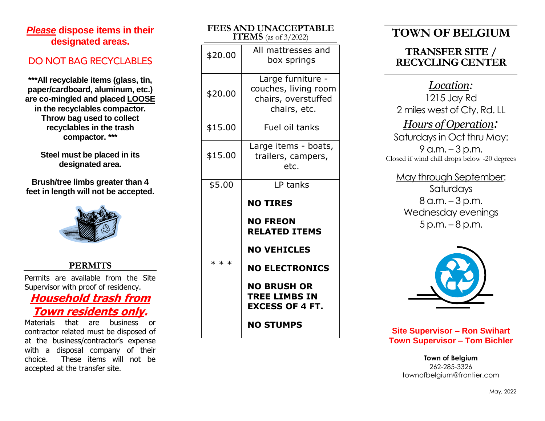## *Please* **dispose items in their designated areas .**

## DO NOT BAG RECYCLABLE S

**\*\*\*All recyclable items (glass, tin, paper/cardboard, aluminum, etc.) are co -mingled and place d LOOSE in the recyclables compactor. Throw bag used to collect recyclables in the trash compactor. \*\*\***

> **Steel must be placed in its designated area.**

**Brush/tree limbs greater than 4 feet in length will not be accepted.**



#### **PERMITS**

Permits are available from the Site Supervisor with proof of residency.

## **Household trash from Town residents only.**

Materials that are business or contractor related must be disposed of at the business/contractor's expense with a disposal company of their choice. These items will not be accepted at the transfer site .

| FEES AIND UINACCEF IADLE<br>ITEMS (as of 3/2022) |                                                                                                                                                                                                       |
|--------------------------------------------------|-------------------------------------------------------------------------------------------------------------------------------------------------------------------------------------------------------|
| \$20.00                                          | All mattresses and<br>box springs                                                                                                                                                                     |
| \$20.00                                          | Large furniture -<br>couches, living room<br>chairs, overstuffed<br>chairs, etc.                                                                                                                      |
| \$15.00                                          | Fuel oil tanks                                                                                                                                                                                        |
| \$15.00                                          | Large items - boats,<br>trailers, campers,<br>etc.                                                                                                                                                    |
| \$5.00                                           | LP tanks                                                                                                                                                                                              |
| $***$                                            | <b>NO TIRES</b><br><b>NO FREON</b><br><b>RELATED ITEMS</b><br><b>NO VEHICLES</b><br><b>NO ELECTRONICS</b><br><b>NO BRUSH OR</b><br><b>TREE LIMBS IN</b><br><b>EXCESS OF 4 FT.</b><br><b>NO STUMPS</b> |

**FEES AND UNACCEPTABLE** 

# **TOWN OF BELGIUM**

## **TRANSFER SITE / RECYCLING CENTER**

*Location :* 1215 Jay Rd 2 mile s west of Cty. Rd. LL *Hours of Operation :*  Saturdays in Oct thru May: 9 a.m. – 3 p.m. Closed if wind chill drops below -20 degrees

May through September: Saturday s 8 a.m. – 3 p.m. Wednesday evenings<br>5 p.m. – 8 p.m.



**Site Supervisor – Ron Swihart Town Supervisor – Tom Bichler**

> **Town of Belgium** 262 -285 -3326 townofbelgium@frontier.com